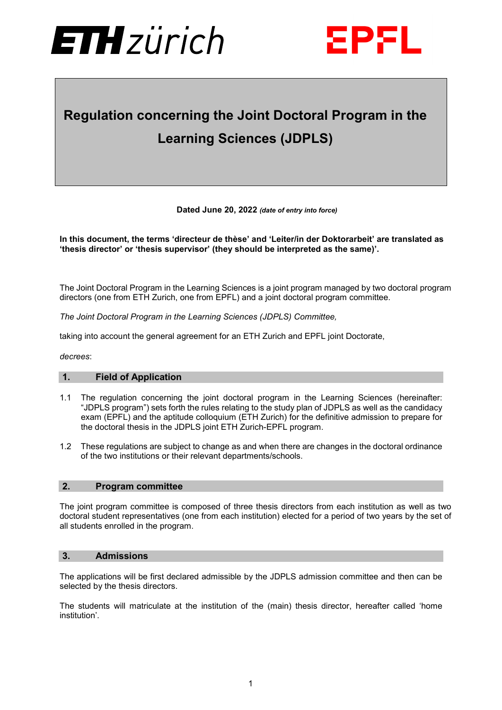



# **Regulation concerning the Joint Doctoral Program in the Learning Sciences (JDPLS)**

**Dated June 20, 2022** *(date of entry into force)*

#### **In this document, the terms 'directeur de thèse' and 'Leiter/in der Doktorarbeit' are translated as 'thesis director' or 'thesis supervisor' (they should be interpreted as the same)'.**

The Joint Doctoral Program in the Learning Sciences is a joint program managed by two doctoral program directors (one from ETH Zurich, one from EPFL) and a joint doctoral program committee.

*The Joint Doctoral Program in the Learning Sciences (JDPLS) Committee,*

taking into account the general agreement for an ETH Zurich and EPFL joint Doctorate,

*decrees*:

#### **1. Field of Application**

- 1.1 The regulation concerning the joint doctoral program in the Learning Sciences (hereinafter: "JDPLS program") sets forth the rules relating to the study plan of JDPLS as well as the candidacy exam (EPFL) and the aptitude colloquium (ETH Zurich) for the definitive admission to prepare for the doctoral thesis in the JDPLS joint ETH Zurich-EPFL program.
- 1.2 These regulations are subject to change as and when there are changes in the doctoral ordinance of the two institutions or their relevant departments/schools.

#### **2. Program committee**

The joint program committee is composed of three thesis directors from each institution as well as two doctoral student representatives (one from each institution) elected for a period of two years by the set of all students enrolled in the program.

#### **3. Admissions**

The applications will be first declared admissible by the JDPLS admission committee and then can be selected by the thesis directors.

The students will matriculate at the institution of the (main) thesis director, hereafter called 'home institution'.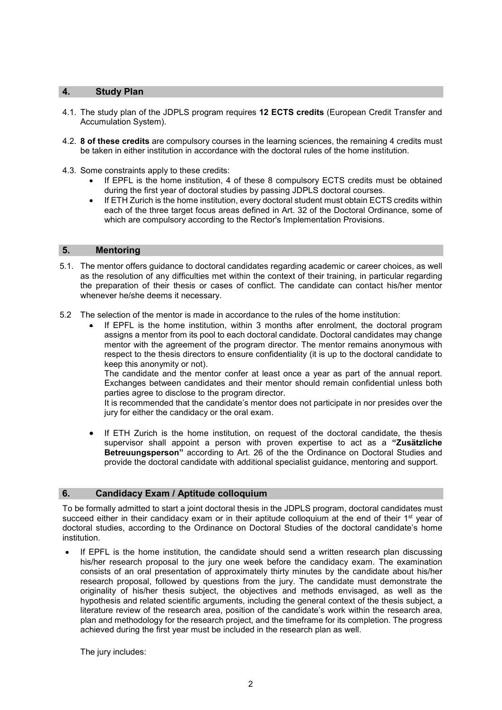#### **4. Study Plan**

- 4.1. The study plan of the JDPLS program requires **12 ECTS credits** (European Credit Transfer and Accumulation System).
- 4.2. **8 of these credits** are compulsory courses in the learning sciences, the remaining 4 credits must be taken in either institution in accordance with the doctoral rules of the home institution.
- 4.3. Some constraints apply to these credits:
	- If EPFL is the home institution, 4 of these 8 compulsory ECTS credits must be obtained during the first year of doctoral studies by passing JDPLS doctoral courses.
	- If ETH Zurich is the home institution, every doctoral student must obtain ECTS credits within each of the three target focus areas defined in Art. 32 of the Doctoral Ordinance, some of which are compulsory according to the Rector's Implementation Provisions.

#### **5. Mentoring**

- 5.1. The mentor offers guidance to doctoral candidates regarding academic or career choices, as well as the resolution of any difficulties met within the context of their training, in particular regarding the preparation of their thesis or cases of conflict. The candidate can contact his/her mentor whenever he/she deems it necessary.
- 5.2 The selection of the mentor is made in accordance to the rules of the home institution:
	- If EPFL is the home institution, within 3 months after enrolment, the doctoral program assigns a mentor from its pool to each doctoral candidate. Doctoral candidates may change mentor with the agreement of the program director. The mentor remains anonymous with respect to the thesis directors to ensure confidentiality (it is up to the doctoral candidate to keep this anonymity or not).

The candidate and the mentor confer at least once a year as part of the annual report. Exchanges between candidates and their mentor should remain confidential unless both parties agree to disclose to the program director.

It is recommended that the candidate's mentor does not participate in nor presides over the jury for either the candidacy or the oral exam.

• If ETH Zurich is the home institution, on request of the doctoral candidate, the thesis supervisor shall appoint a person with proven expertise to act as a **"Zusätzliche Betreuungsperson"** according to Art. 26 of the the Ordinance on Doctoral Studies and provide the doctoral candidate with additional specialist guidance, mentoring and support.

## **6. Candidacy Exam / Aptitude colloquium**

To be formally admitted to start a joint doctoral thesis in the JDPLS program, doctoral candidates must succeed either in their candidacy exam or in their aptitude colloquium at the end of their 1<sup>st</sup> year of doctoral studies, according to the Ordinance on Doctoral Studies of the doctoral candidate's home institution.

If EPFL is the home institution, the candidate should send a written research plan discussing his/her research proposal to the jury one week before the candidacy exam. The examination consists of an oral presentation of approximately thirty minutes by the candidate about his/her research proposal, followed by questions from the jury. The candidate must demonstrate the originality of his/her thesis subject, the objectives and methods envisaged, as well as the hypothesis and related scientific arguments, including the general context of the thesis subject, a literature review of the research area, position of the candidate's work within the research area, plan and methodology for the research project, and the timeframe for its completion. The progress achieved during the first year must be included in the research plan as well.

The jury includes: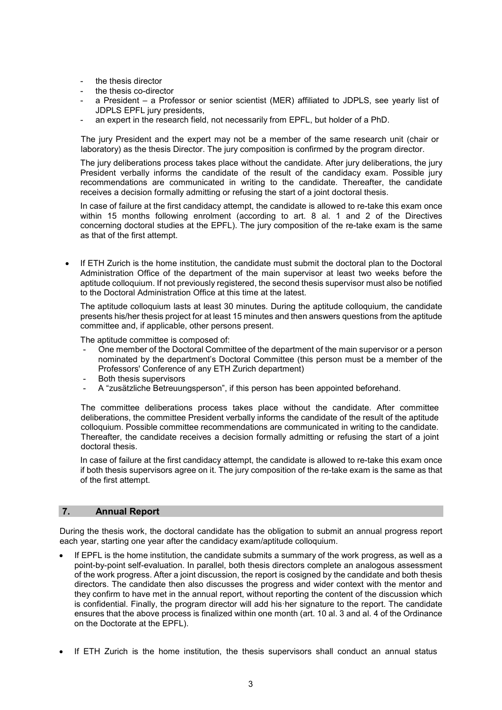- the thesis director
- the thesis co-director
- a President a Professor or senior scientist (MER) affiliated to JDPLS, see yearly list of JDPLS EPFL jury presidents,
- an expert in the research field, not necessarily from EPFL, but holder of a PhD.

The jury President and the expert may not be a member of the same research unit (chair or laboratory) as the thesis Director. The jury composition is confirmed by the program director.

The jury deliberations process takes place without the candidate. After jury deliberations, the jury President verbally informs the candidate of the result of the candidacy exam. Possible jury recommendations are communicated in writing to the candidate. Thereafter, the candidate receives a decision formally admitting or refusing the start of a joint doctoral thesis.

In case of failure at the first candidacy attempt, the candidate is allowed to re-take this exam once within 15 months following enrolment (according to art. 8 al. 1 and 2 of the Directives concerning doctoral studies at the EPFL). The jury composition of the re-take exam is the same as that of the first attempt.

If ETH Zurich is the home institution, the candidate must submit the doctoral plan to the Doctoral Administration Office of the department of the main supervisor at least two weeks before the aptitude colloquium. If not previously registered, the second thesis supervisor must also be notified to the Doctoral Administration Office at this time at the latest.

The aptitude colloquium lasts at least 30 minutes. During the aptitude colloquium, the candidate presents his/her thesis project for at least 15 minutes and then answers questions from the aptitude committee and, if applicable, other persons present.

The aptitude committee is composed of:

- One member of the Doctoral Committee of the department of the main supervisor or a person nominated by the department's Doctoral Committee (this person must be a member of the Professors' Conference of any ETH Zurich department)
- Both thesis supervisors
- A "zusätzliche Betreuungsperson", if this person has been appointed beforehand.

The committee deliberations process takes place without the candidate. After committee deliberations, the committee President verbally informs the candidate of the result of the aptitude colloquium. Possible committee recommendations are communicated in writing to the candidate. Thereafter, the candidate receives a decision formally admitting or refusing the start of a joint doctoral thesis.

In case of failure at the first candidacy attempt, the candidate is allowed to re-take this exam once if both thesis supervisors agree on it. The jury composition of the re-take exam is the same as that of the first attempt.

#### **7. Annual Report**

During the thesis work, the doctoral candidate has the obligation to submit an annual progress report each year, starting one year after the candidacy exam/aptitude colloquium.

- If EPFL is the home institution, the candidate submits a summary of the work progress, as well as a point-by-point self-evaluation. In parallel, both thesis directors complete an analogous assessment of the work progress. After a joint discussion, the report is cosigned by the candidate and both thesis directors. The candidate then also discusses the progress and wider context with the mentor and they confirm to have met in the annual report, without reporting the content of the discussion which is confidential. Finally, the program director will add his·her signature to the report. The candidate ensures that the above process is finalized within one month (art. 10 al. 3 and al. 4 of the Ordinance on the Doctorate at the EPFL).
- If ETH Zurich is the home institution, the thesis supervisors shall conduct an annual status